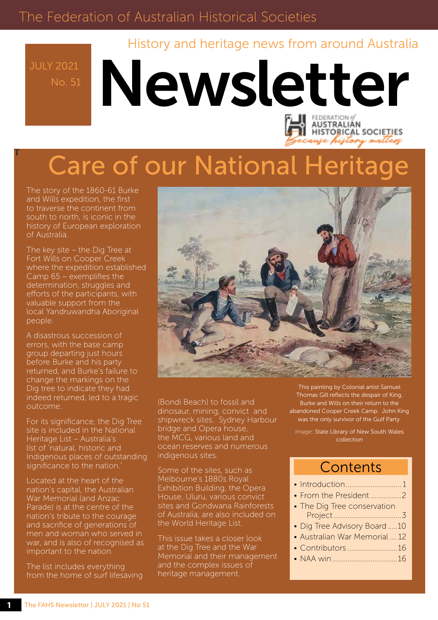## The Federation of Australian Historical Societies

History and heritage news from around Australia

No. 51

T

# Newsletter **AUSTRALIAN HISTORICAL SOCIETIES**

# Care of our National Heritage

The story of the 1860-61 Burke and Wills expedition, the first to traverse the continent from south to north, is iconic in the history of European exploration of Australia.

The key site – the Dig Tree at Fort Wills on Cooper Creek where the expedition established Camp 65 – exemplifies the determination, struggles and efforts of the participants, with valuable support from the local Yandruwandha Aboriginal people.

A disastrous succession of errors, with the base camp group departing just hours before Burke and his party returned, and Burke's failure to change the markings on the Dig tree to indicate they had indeed returned, led to a tragic outcome.

For its significance, the Dig Tree site is included in the National Heritage List – Australia's list of 'natural, historic and Indigenous places of outstanding significance to the nation.

Located at the heart of the nation's capital, the Australian War Memorial (and Anzac Parade) is at the centre of the nation's tribute to the courage and sacrifice of generations of men and woman who served in war, and is also of recognised as important to the nation.

The list includes everything from the home of surf lifesaving



(Bondi Beach) to fossil and dinosaur, mining, convict and shipwreck sites. Sydney Harbour bridge and Opera house, the MCG, various land and ocean reserves and numerous indigenous sites.

Some of the sites, such as Melbourne's 1880s Royal Exhibition Building, the Opera House, Uluru, various convict sites and Gondwana Rainforests of Australia, are also included on the World Heritage List.

This issue takes a closer look at the Dig Tree and the War Memorial and their management and the complex issues of heritage management.

This painting by Colonial artist Samuel Thomas Gill reflects the despair of King, Burke and Wills on their return to the abandoned Cooper Creek Camp. John King was the only survivor of the Gulf Party.

use history matters

*Image*: State Library of New South Wales collection

### **Contents**

| • From the President 2        |  |
|-------------------------------|--|
| • The Dig Tree conservation   |  |
|                               |  |
| • Dig Tree Advisory Board 10  |  |
| • Australian War Memorial  12 |  |
| • Contributors 16             |  |
|                               |  |
|                               |  |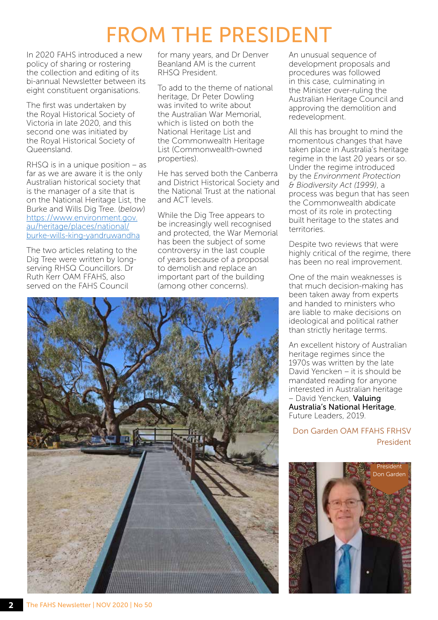## FROM THE PRESIDENT

In 2020 FAHS introduced a new policy of sharing or rostering the collection and editing of its bi-annual Newsletter between its eight constituent organisations.

The first was undertaken by the Royal Historical Society of Victoria in late 2020, and this second one was initiated by the Royal Historical Society of Queensland.

RHSQ is in a unique position – as far as we are aware it is the only Australian historical society that is the manager of a site that is on the National Heritage List, the Burke and Wills Dig Tree. (*below*) https://www.environment.gov. au/heritage/places/national/ [burke-wills-king-yandruwandha](https://www.environment.gov.au/heritage/places/national/burke-wills-king-yandruwandha)

The two articles relating to the Dig Tree were written by longserving RHSQ Councillors. Dr Ruth Kerr OAM FFAHS, also served on the FAHS Council

for many years, and Dr Denver Beanland AM is the current RHSQ President.

To add to the theme of national heritage, Dr Peter Dowling was invited to write about the Australian War Memorial, which is listed on both the National Heritage List and the Commonwealth Heritage List (Commonwealth-owned properties).

He has served both the Canberra and District Historical Society and the National Trust at the national and ACT levels.

While the Dig Tree appears to be increasingly well recognised and protected, the War Memorial has been the subject of some controversy in the last couple of years because of a proposal to demolish and replace an important part of the building (among other concerns).

An unusual sequence of development proposals and procedures was followed in this case, culminating in the Minister over-ruling the Australian Heritage Council and approving the demolition and redevelopment.

All this has brought to mind the momentous changes that have taken place in Australia's heritage regime in the last 20 years or so. Under the regime introduced by the *Environment Protection & Biodiversity Act (1999)*, a process was begun that has seen the Commonwealth abdicate most of its role in protecting built heritage to the states and territories.

Despite two reviews that were highly critical of the regime, there has been no real improvement.

One of the main weaknesses is that much decision-making has been taken away from experts and handed to ministers who are liable to make decisions on ideological and political rather than strictly heritage terms.

An excellent history of Australian heritage regimes since the 1970s was written by the late David Yencken – it is should be mandated reading for anyone interested in Australian heritage – David Yencken, Valuing Australia's National Heritage, Future Leaders, 2019.

Don Garden OAM FFAHS FRHSV President



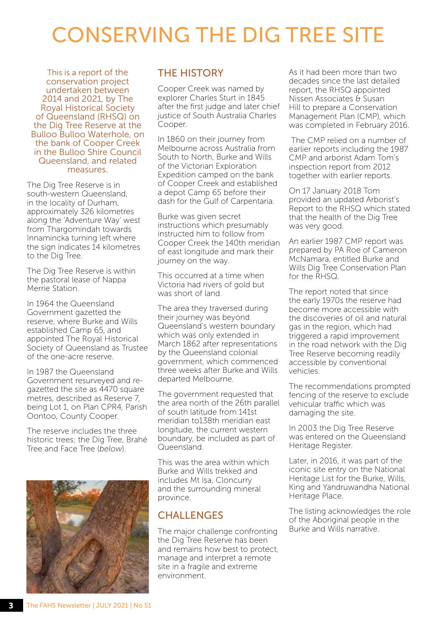## CONSERVING THE DIG TREE SITE

This is a report of the conservation project undertaken between 2014 and 2021, by The Royal Historical Society of Queensland (RHSQ) on the Dig Tree Reserve at the Bulloo Bulloo Waterhole, on the bank of Cooper Creek in the Bulloo Shire Council Queensland, and related measures.

The Dig Tree Reserve is in south-western Queensland, in the locality of Durham, approximately 326 kilometres along the 'Adventure Way' west from Thargomindah towards Innamincka turning left where the sign indicates 14 kilometres to the Dig Tree.

The Dig Tree Reserve is within the pastoral lease of Nappa Merrie Station.

In 1964 the Queensland Government gazetted the reserve, where Burke and Wills established Camp 65, and appointed The Royal Historical Society of Queensland as Trustee of the one-acre reserve.

In 1987 the Queensland Government resurveyed and regazetted the site as 4470 square metres, described as Reserve 7, being Lot 1, on Plan CPR4, Parish Oontoo, County Cooper.

The reserve includes the three historic trees; the Dig Tree, Brahé Tree and Face Tree (*below*).



#### THE HISTORY

Cooper Creek was named by explorer Charles Sturt in 1845 after the first judge and later chief justice of South Australia Charles Cooper.

In 1860 on their journey from Melbourne across Australia from South to North, Burke and Wills of the Victorian Exploration Expedition camped on the bank of Cooper Creek and established a depot Camp 65 before their dash for the Gulf of Carpentaria.

Burke was given secret instructions which presumably instructed him to follow from Cooper Creek the 140th meridian of east longitude and mark their journey on the way.

This occurred at a time when Victoria had rivers of gold but was short of land.

The area they traversed during their journey was beyond Queensland's western boundary which was only extended in March 1862 after representations by the Queensland colonial government, which commenced three weeks after Burke and Wills departed Melbourne.

The government requested that the area north of the 26th parallel of south latitude from 141st meridian to138th meridian east longitude, the current western boundary, be included as part of Queensland.

This was the area within which Burke and Wills trekked and includes Mt Isa, Cloncurry and the surrounding mineral province.

#### **CHALLENGES**

The major challenge confronting the Dig Tree Reserve has been and remains how best to protect, manage and interpret a remote site in a fragile and extreme environment.

As it had been more than two decades since the last detailed report, the RHSQ appointed Nissen Associates & Susan Hill to prepare a Conservation Management Plan (CMP), which was completed in February 2016.

 The CMP relied on a number of earlier reports including the 1987 CMP and arborist Adam Tom's inspection report from 2012 together with earlier reports.

On 17 January 2018 Tom provided an updated Arborist's Report to the RHSQ which stated that the health of the Dig Tree was very good.

An earlier 1987 CMP report was prepared by PA Roe of Cameron McNamara, entitled Burke and Wills Dig Tree Conservation Plan for the RHSQ.

The report noted that since the early 1970s the reserve had become more accessible with the discoveries of oil and natural gas in the region, which had triggered a rapid improvement in the road network with the Dig Tree Reserve becoming readily accessible by conventional vehicles.

The recommendations prompted fencing of the reserve to exclude vehicular traffic which was damaging the site.

In 2003 the Dig Tree Reserve was entered on the Queensland Heritage Register.

Later, in 2016, it was part of the iconic site entry on the National Heritage List for the Burke, Wills, King and Yandruwandha National Heritage Place.

The listing acknowledges the role of the Aboriginal people in the Burke and Wills narrative.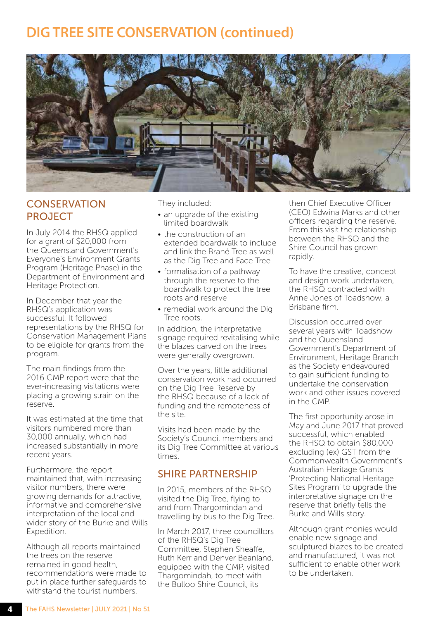

#### **CONSERVATION** PROJECT

In July 2014 the RHSQ applied for a grant of \$20,000 from the Queensland Government's Everyone's Environment Grants Program (Heritage Phase) in the Department of Environment and Heritage Protection.

In December that year the RHSQ's application was successful. It followed representations by the RHSQ for Conservation Management Plans to be eligible for grants from the program.

The main findings from the 2016 CMP report were that the ever-increasing visitations were placing a growing strain on the reserve.

It was estimated at the time that visitors numbered more than 30,000 annually, which had increased substantially in more recent years.

Furthermore, the report maintained that, with increasing visitor numbers, there were growing demands for attractive, informative and comprehensive interpretation of the local and wider story of the Burke and Wills Expedition.

Although all reports maintained the trees on the reserve remained in good health, recommendations were made to put in place further safeguards to withstand the tourist numbers.

They included:

- an upgrade of the existing limited boardwalk
- the construction of an extended boardwalk to include and link the Brahé Tree as well as the Dig Tree and Face Tree
- formalisation of a pathway through the reserve to the boardwalk to protect the tree roots and reserve
- remedial work around the Dig Tree roots.

In addition, the interpretative signage required revitalising while the blazes carved on the trees were generally overgrown.

Over the years, little additional conservation work had occurred on the Dig Tree Reserve by the RHSQ because of a lack of funding and the remoteness of the site.

Visits had been made by the Society's Council members and its Dig Tree Committee at various times.

#### SHIRE PARTNERSHIP

In 2015, members of the RHSQ visited the Dig Tree, flying to and from Thargomindah and travelling by bus to the Dig Tree.

In March 2017, three councillors of the RHSQ's Dig Tree Committee, Stephen Sheaffe, Ruth Kerr and Denver Beanland, equipped with the CMP, visited Thargomindah, to meet with the Bulloo Shire Council, its

then Chief Executive Officer (CEO) Edwina Marks and other officers regarding the reserve. From this visit the relationship between the RHSQ and the Shire Council has grown rapidly.

To have the creative, concept and design work undertaken, the RHSQ contracted with Anne Jones of Toadshow, a Brisbane firm.

Discussion occurred over several years with Toadshow and the Queensland Government's Department of Environment, Heritage Branch as the Society endeavoured to gain sufficient funding to undertake the conservation work and other issues covered in the CMP.

The first opportunity arose in May and June 2017 that proved successful, which enabled the RHSQ to obtain \$80,000 excluding (ex) GST from the Commonwealth Government's Australian Heritage Grants 'Protecting National Heritage Sites Program' to upgrade the interpretative signage on the reserve that briefly tells the Burke and Wills story.

Although grant monies would enable new signage and sculptured blazes to be created and manufactured, it was not sufficient to enable other work to be undertaken.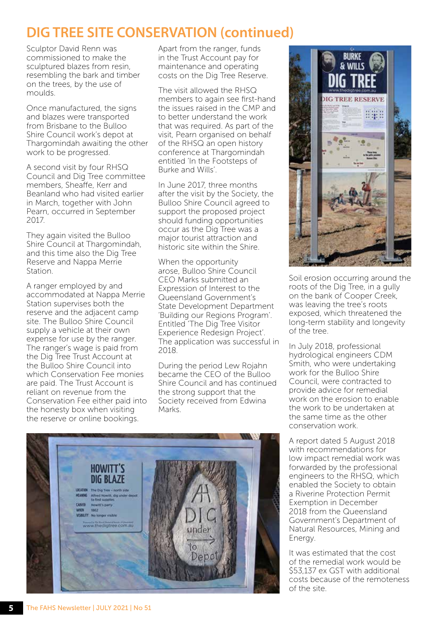Sculptor David Renn was commissioned to make the sculptured blazes from resin, resembling the bark and timber on the trees, by the use of moulds.

Once manufactured, the signs and blazes were transported from Brisbane to the Bulloo Shire Council work's depot at Thargomindah awaiting the other work to be progressed.

A second visit by four RHSQ Council and Dig Tree committee members, Sheaffe, Kerr and Beanland who had visited earlier in March, together with John Pearn, occurred in September 2017.

They again visited the Bulloo Shire Council at Thargomindah, and this time also the Dig Tree Reserve and Nappa Merrie **Station** 

A ranger employed by and accommodated at Nappa Merrie Station supervises both the reserve and the adjacent camp site. The Bulloo Shire Council supply a vehicle at their own expense for use by the ranger. The ranger's wage is paid from the Dig Tree Trust Account at the Bulloo Shire Council into which Conservation Fee monies are paid. The Trust Account is reliant on revenue from the Conservation Fee either paid into the honesty box when visiting the reserve or online bookings.

Apart from the ranger, funds in the Trust Account pay for maintenance and operating costs on the Dig Tree Reserve.

The visit allowed the RHSQ members to again see first-hand the issues raised in the CMP and to better understand the work that was required. As part of the visit, Pearn organised on behalf of the RHSQ an open history conference at Thargomindah entitled 'In the Footsteps of Burke and Wills'.

In June 2017, three months after the visit by the Society, the Bulloo Shire Council agreed to support the proposed project should funding opportunities occur as the Dig Tree was a major tourist attraction and historic site within the Shire.

When the opportunity arose, Bulloo Shire Council CEO Marks submitted an Expression of Interest to the Queensland Government's State Development Department 'Building our Regions Program'. Entitled 'The Dig Tree Visitor Experience Redesign Project'. The application was successful in 2018.

During the period Lew Rojahn became the CEO of the Bulloo Shire Council and has continued the strong support that the Society received from Edwina Marks.





Soil erosion occurring around the roots of the Dig Tree, in a gully on the bank of Cooper Creek, was leaving the tree's roots exposed, which threatened the long-term stability and longevity of the tree.

In July 2018, professional hydrological engineers CDM Smith, who were undertaking work for the Bulloo Shire Council, were contracted to provide advice for remedial work on the erosion to enable the work to be undertaken at the same time as the other conservation work.

A report dated 5 August 2018 with recommendations for low impact remedial work was forwarded by the professional engineers to the RHSQ, which enabled the Society to obtain a Riverine Protection Permit Exemption in December 2018 from the Queensland Government's Department of Natural Resources, Mining and Energy.

It was estimated that the cost of the remedial work would be \$53,137 ex GST with additional costs because of the remoteness of the site.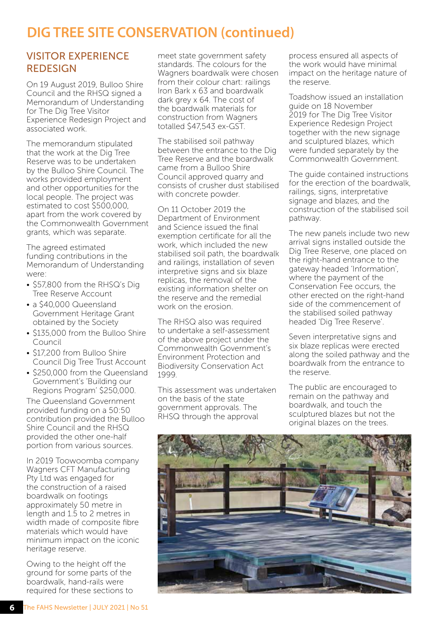#### VISITOR EXPERIENCE REDESIGN

On 19 August 2019, Bulloo Shire Council and the RHSQ signed a Memorandum of Understanding for The Dig Tree Visitor Experience Redesign Project and associated work.

The memorandum stipulated that the work at the Dig Tree Reserve was to be undertaken by the Bulloo Shire Council. The works provided employment and other opportunities for the local people. The project was estimated to cost \$500,000, apart from the work covered by the Commonwealth Government grants, which was separate.

The agreed estimated funding contributions in the Memorandum of Understanding were:

- \$57,800 from the RHSQ's Dig Tree Reserve Account
- a \$40,000 Queensland Government Heritage Grant obtained by the Society
- \$135,000 from the Bulloo Shire Council
- \$17,200 from Bulloo Shire Council Dig Tree Trust Account
- \$250,000 from the Queensland Government's 'Building our Regions Program' \$250,000.

The Queensland Government provided funding on a 50:50 contribution provided the Bulloo Shire Council and the RHSQ provided the other one-half portion from various sources.

In 2019 Toowoomba company Wagners CFT Manufacturing Pty Ltd was engaged for the construction of a raised boardwalk on footings approximately 50 metre in length and 1.5 to 2 metres in width made of composite fibre materials which would have minimum impact on the iconic heritage reserve.

Owing to the height off the ground for some parts of the boardwalk, hand-rails were required for these sections to meet state government safety standards. The colours for the Wagners boardwalk were chosen from their colour chart: railings Iron Bark x 63 and boardwalk dark grey x 64. The cost of the boardwalk materials for construction from Wagners totalled \$47,543 ex-GST.

The stabilised soil pathway between the entrance to the Dig Tree Reserve and the boardwalk came from a Bulloo Shire Council approved quarry and consists of crusher dust stabilised with concrete powder.

On 11 October 2019 the Department of Environment and Science issued the final exemption certificate for all the work, which included the new stabilised soil path, the boardwalk and railings, installation of seven interpretive signs and six blaze replicas, the removal of the existing information shelter on the reserve and the remedial work on the erosion.

The RHSQ also was required to undertake a self-assessment of the above project under the Commonwealth Government's Environment Protection and Biodiversity Conservation Act 1999.

This assessment was undertaken on the basis of the state government approvals. The RHSQ through the approval

process ensured all aspects of the work would have minimal impact on the heritage nature of the reserve.

Toadshow issued an installation guide on 18 November 2019 for The Dig Tree Visitor Experience Redesign Project together with the new signage and sculptured blazes, which were funded separately by the Commonwealth Government.

The guide contained instructions for the erection of the boardwalk, railings, signs, interpretative signage and blazes, and the construction of the stabilised soil pathway.

The new panels include two new arrival signs installed outside the Dig Tree Reserve, one placed on the right-hand entrance to the gateway headed 'Information', where the payment of the Conservation Fee occurs, the other erected on the right-hand side of the commencement of the stabilised soiled pathway headed 'Dig Tree Reserve'.

Seven interpretative signs and six blaze replicas were erected along the soiled pathway and the boardwalk from the entrance to the reserve.

The public are encouraged to remain on the pathway and boardwalk, and touch the sculptured blazes but not the original blazes on the trees.

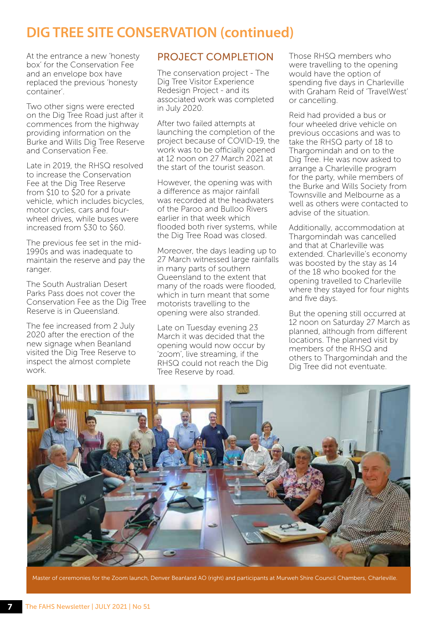At the entrance a new 'honesty box' for the Conservation Fee and an envelope box have replaced the previous 'honesty container'.

Two other signs were erected on the Dig Tree Road just after it commences from the highway providing information on the Burke and Wills Dig Tree Reserve and Conservation Fee.

Late in 2019, the RHSQ resolved to increase the Conservation Fee at the Dig Tree Reserve from \$10 to \$20 for a private vehicle, which includes bicycles, motor cycles, cars and fourwheel drives, while buses were increased from \$30 to \$60.

The previous fee set in the mid-1990s and was inadequate to maintain the reserve and pay the ranger.

The South Australian Desert Parks Pass does not cover the Conservation Fee as the Dig Tree Reserve is in Queensland.

The fee increased from 2 July 2020 after the erection of the new signage when Beanland visited the Dig Tree Reserve to inspect the almost complete work.

#### PROJECT COMPLETION

The conservation project - The Dig Tree Visitor Experience Redesign Project - and its associated work was completed in July 2020.

After two failed attempts at launching the completion of the project because of COVID-19, the work was to be officially opened at 12 noon on 27 March 2021 at the start of the tourist season.

However, the opening was with a difference as major rainfall was recorded at the headwaters of the Paroo and Bulloo Rivers earlier in that week which flooded both river systems, while the Dig Tree Road was closed.

Moreover, the days leading up to 27 March witnessed large rainfalls in many parts of southern Queensland to the extent that many of the roads were flooded, which in turn meant that some motorists travelling to the opening were also stranded.

Late on Tuesday evening 23 March it was decided that the opening would now occur by 'zoom', live streaming, if the RHSQ could not reach the Dig Tree Reserve by road.

Those RHSQ members who were travelling to the opening would have the option of spending five days in Charleville with Graham Reid of 'TravelWest' or cancelling.

Reid had provided a bus or four wheeled drive vehicle on previous occasions and was to take the RHSQ party of 18 to Thargomindah and on to the Dig Tree. He was now asked to arrange a Charleville program for the party, while members of the Burke and Wills Society from Townsville and Melbourne as a well as others were contacted to advise of the situation.

Additionally, accommodation at Thargomindah was cancelled and that at Charleville was extended. Charleville's economy was boosted by the stay as 14 of the 18 who booked for the opening travelled to Charleville where they stayed for four nights and five days.

But the opening still occurred at 12 noon on Saturday 27 March as planned, although from different locations. The planned visit by members of the RHSQ and others to Thargomindah and the Dig Tree did not eventuate.



Master of ceremonies for the Zoom launch, Denver Beanland AO (right) and participants at Murweh Shire Council Chambers, Charleville.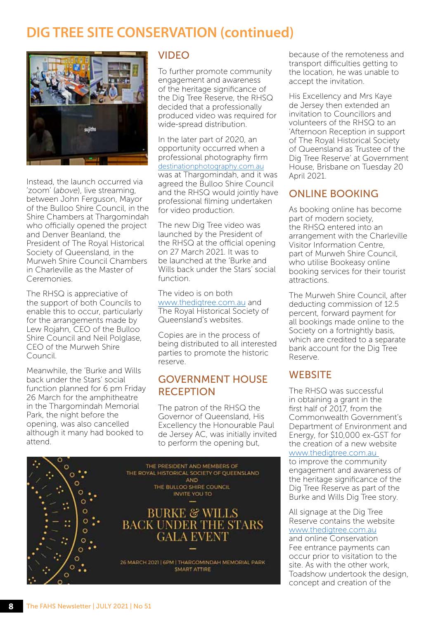

Instead, the launch occurred via 'zoom' (*above*), live streaming, between John Ferguson, Mayor of the Bulloo Shire Council, in the Shire Chambers at Thargomindah who officially opened the project and Denver Beanland, the President of The Royal Historical Society of Queensland, in the Murweh Shire Council Chambers in Charleville as the Master of Ceremonies.

The RHSQ is appreciative of the support of both Councils to enable this to occur, particularly for the arrangements made by Lew Rojahn, CEO of the Bulloo Shire Council and Neil Polglase, CEO of the Murweh Shire Council.

Meanwhile, the 'Burke and Wills back under the Stars' social function planned for 6 pm Friday 26 March for the amphitheatre in the Thargomindah Memorial Park, the night before the opening, was also cancelled although it many had booked to attend.

#### VIDEO

To further promote community engagement and awareness of the heritage significance of the Dig Tree Reserve, the RHSQ decided that a professionally produced video was required for wide-spread distribution.

In the later part of 2020, an opportunity occurred when a professional photography firm <destinationphotography.com.au> was at Thargomindah, and it was agreed the Bulloo Shire Council and the RHSQ would jointly have professional filming undertaken for video production.

The new Dig Tree video was launched by the President of the RHSQ at the official opening on 27 March 2021. It was to be launched at the 'Burke and Wills back under the Stars' social function.

The video is on both www.thedigtree.com.au and The Royal Historical Society of Queensland's websites.

Copies are in the process of being distributed to all interested parties to promote the historic reserve.

#### GOVERNMENT HOUSE RECEPTION

The patron of the RHSQ the Governor of Queensland, His Excellency the Honourable Paul de Jersey AC, was initially invited to perform the opening but,



because of the remoteness and transport difficulties getting to the location, he was unable to accept the invitation.

His Excellency and Mrs Kaye de Jersey then extended an invitation to Councillors and volunteers of the RHSQ to an 'Afternoon Reception in support of The Royal Historical Society of Queensland as Trustee of the Dig Tree Reserve' at Government House, Brisbane on Tuesday 20 April 2021.

#### ONLINE BOOKING

As booking online has become part of modern society, the RHSQ entered into an arrangement with the Charleville Visitor Information Centre, part of Murweh Shire Council, who utilise Bookeasy online booking services for their tourist attractions.

The Murweh Shire Council, after deducting commission of 12.5 percent, forward payment for all bookings made online to the Society on a fortnightly basis, which are credited to a separate bank account for the Dig Tree Reserve.

#### **WEBSITE**

The RHSQ was successful in obtaining a grant in the first half of 2017, from the Commonwealth Government's Department of Environment and Energy, for \$10,000 ex-GST for the creation of a new website www.thedigtree.com.au to improve the community engagement and awareness of the heritage significance of the Dig Tree Reserve as part of the Burke and Wills Dig Tree story.

All signage at the Dig Tree Reserve contains the website www.thedigtree.com.au and online Conservation

Fee entrance payments can occur prior to visitation to the site. As with the other work, Toadshow undertook the design, concept and creation of the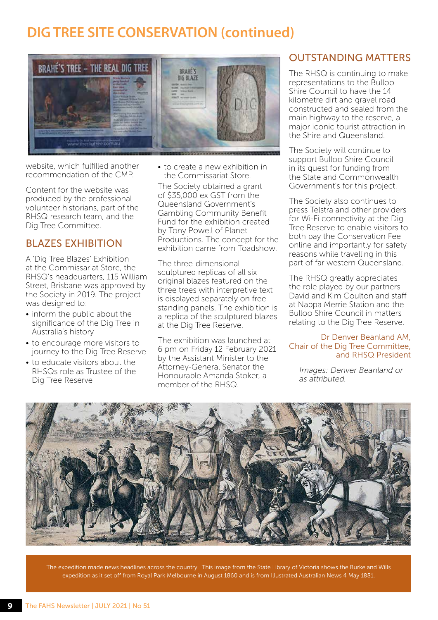

website, which fulfilled another recommendation of the CMP.

Content for the website was produced by the professional volunteer historians, part of the RHSQ research team, and the Dig Tree Committee.

#### BLAZES EXHIBITION

A 'Dig Tree Blazes' Exhibition at the Commissariat Store, the RHSQ's headquarters, 115 William Street, Brisbane was approved by the Society in 2019. The project was designed to:

- inform the public about the significance of the Dig Tree in Australia's history
- to encourage more visitors to journey to the Dig Tree Reserve
- to educate visitors about the RHSQs role as Trustee of the Dig Tree Reserve

• to create a new exhibition in the Commissariat Store.

The Society obtained a grant of \$35,000 ex GST from the Queensland Government's Gambling Community Benefit Fund for the exhibition created by Tony Powell of Planet Productions. The concept for the exhibition came from Toadshow.

The three-dimensional sculptured replicas of all six original blazes featured on the three trees with interpretive text is displayed separately on freestanding panels. The exhibition is a replica of the sculptured blazes at the Dig Tree Reserve.

The exhibition was launched at 6 pm on Friday 12 February 2021 by the Assistant Minister to the Attorney-General Senator the Honourable Amanda Stoker, a member of the RHSQ.

#### OUTSTANDING MATTERS

The RHSQ is continuing to make representations to the Bulloo Shire Council to have the 14 kilometre dirt and gravel road constructed and sealed from the main highway to the reserve, a major iconic tourist attraction in the Shire and Queensland.

The Society will continue to support Bulloo Shire Council in its quest for funding from the State and Commonwealth Government's for this project.

The Society also continues to press Telstra and other providers for Wi-Fi connectivity at the Dig Tree Reserve to enable visitors to both pay the Conservation Fee online and importantly for safety reasons while travelling in this part of far western Queensland.

The RHSQ greatly appreciates the role played by our partners David and Kim Coulton and staff at Nappa Merrie Station and the Bulloo Shire Council in matters relating to the Dig Tree Reserve.

#### Dr Denver Beanland AM, Chair of the Dig Tree Committee, and RHSQ President

*Images: Denver Beanland or as attributed.* 



The expedition made news headlines across the country. This image from the State Library of Victoria shows the Burke and Wills expedition as it set off from Royal Park Melbourne in August 1860 and is from Illustrated Australian News 4 May 1881.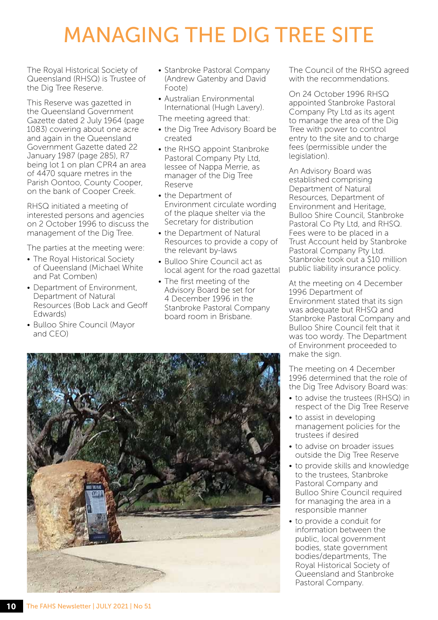## MANAGING THE DIG TREE SITE

The Royal Historical Society of Queensland (RHSQ) is Trustee of the Dig Tree Reserve.

This Reserve was gazetted in the Queensland Government Gazette dated 2 July 1964 (page 1083) covering about one acre and again in the Queensland Government Gazette dated 22 January 1987 (page 285), R7 being lot 1 on plan CPR4 an area of 4470 square metres in the Parish Oontoo, County Cooper, on the bank of Cooper Creek.

RHSQ initiated a meeting of interested persons and agencies on 2 October 1996 to discuss the management of the Dig Tree.

The parties at the meeting were:

- The Royal Historical Society of Queensland (Michael White and Pat Comben)
- Department of Environment Department of Natural Resources (Bob Lack and Geoff Edwards)
- Bulloo Shire Council (Mayor and CEO)
- Stanbroke Pastoral Company (Andrew Gatenby and David Foote)
- Australian Environmental International (Hugh Lavery).

The meeting agreed that:

- the Dig Tree Advisory Board be created
- the RHSQ appoint Stanbroke Pastoral Company Pty Ltd, lessee of Nappa Merrie, as manager of the Dig Tree Reserve
- the Department of Environment circulate wording of the plaque shelter via the Secretary for distribution
- the Department of Natural Resources to provide a copy of the relevant by-laws
- Bulloo Shire Council act as local agent for the road gazettal
- The first meeting of the Advisory Board be set for 4 December 1996 in the Stanbroke Pastoral Company board room in Brisbane.



The Council of the RHSQ agreed with the recommendations

On 24 October 1996 RHSQ appointed Stanbroke Pastoral Company Pty Ltd as its agent to manage the area of the Dig Tree with power to control entry to the site and to charge fees (permissible under the legislation).

An Advisory Board was established comprising Department of Natural Resources, Department of Environment and Heritage, Bulloo Shire Council, Stanbroke Pastoral Co Pty Ltd, and RHSQ. Fees were to be placed in a Trust Account held by Stanbroke Pastoral Company Pty Ltd. Stanbroke took out a \$10 million public liability insurance policy.

At the meeting on 4 December 1996 Department of Environment stated that its sign was adequate but RHSQ and Stanbroke Pastoral Company and Bulloo Shire Council felt that it was too wordy. The Department of Environment proceeded to make the sign.

The meeting on 4 December 1996 determined that the role of the Dig Tree Advisory Board was:

- to advise the trustees (RHSQ) in respect of the Dig Tree Reserve
- to assist in developing management policies for the trustees if desired
- to advise on broader issues outside the Dig Tree Reserve
- to provide skills and knowledge to the trustees, Stanbroke Pastoral Company and Bulloo Shire Council required for managing the area in a responsible manner
- to provide a conduit for information between the public, local government bodies, state government bodies/departments, The Royal Historical Society of Queensland and Stanbroke Pastoral Company.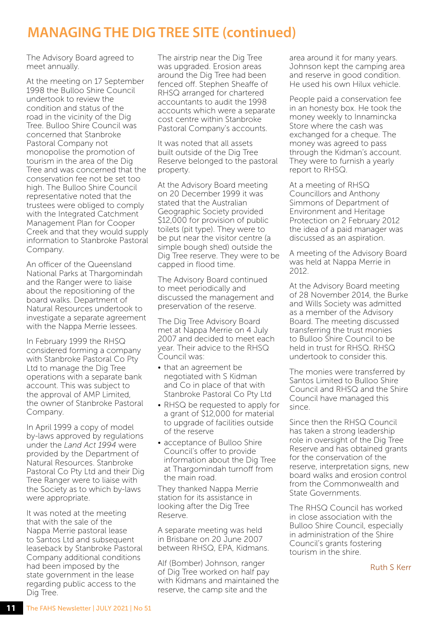## **MANAGING THE DIG TREE SITE (continued)**

The Advisory Board agreed to meet annually.

At the meeting on 17 September 1998 the Bulloo Shire Council undertook to review the condition and status of the road in the vicinity of the Dig Tree. Bulloo Shire Council was concerned that Stanbroke Pastoral Company not monopolise the promotion of tourism in the area of the Dig Tree and was concerned that the conservation fee not be set too high. The Bulloo Shire Council representative noted that the trustees were obliged to comply with the Integrated Catchment Management Plan for Cooper Creek and that they would supply information to Stanbroke Pastoral Company.

An officer of the Queensland National Parks at Thargomindah and the Ranger were to liaise about the repositioning of the board walks. Department of Natural Resources undertook to investigate a separate agreement with the Nappa Merrie lessees.

In February 1999 the RHSQ considered forming a company with Stanbroke Pastoral Co Pty Ltd to manage the Dig Tree operations with a separate bank account. This was subject to the approval of AMP Limited, the owner of Stanbroke Pastoral Company.

In April 1999 a copy of model by-laws approved by regulations under the *Land Act 1994* were provided by the Department of Natural Resources. Stanbroke Pastoral Co Pty Ltd and their Dig Tree Ranger were to liaise with the Society as to which by-laws were appropriate.

It was noted at the meeting that with the sale of the Nappa Merrie pastoral lease to Santos Ltd and subsequent leaseback by Stanbroke Pastoral Company additional conditions had been imposed by the state government in the lease regarding public access to the Dig Tree.

The airstrip near the Dig Tree was upgraded. Erosion areas around the Dig Tree had been fenced off. Stephen Sheaffe of RHSQ arranged for chartered accountants to audit the 1998 accounts which were a separate cost centre within Stanbroke Pastoral Company's accounts.

It was noted that all assets built outside of the Dig Tree Reserve belonged to the pastoral property.

At the Advisory Board meeting on 20 December 1999 it was stated that the Australian Geographic Society provided \$12,000 for provision of public toilets (pit type). They were to be put near the visitor centre (a simple bough shed) outside the Dig Tree reserve. They were to be capped in flood time.

The Advisory Board continued to meet periodically and discussed the management and preservation of the reserve.

The Dig Tree Advisory Board met at Nappa Merrie on 4 July 2007 and decided to meet each year. Their advice to the RHSQ Council was:

- that an agreement be negotiated with S Kidman and Co in place of that with Stanbroke Pastoral Co Pty Ltd
- RHSQ be requested to apply for a grant of \$12,000 for material to upgrade of facilities outside of the reserve
- acceptance of Bulloo Shire Council's offer to provide information about the Dig Tree at Thargomindah turnoff from the main road.

They thanked Nappa Merrie station for its assistance in looking after the Dig Tree Reserve.

A separate meeting was held in Brisbane on 20 June 2007 between RHSQ, EPA, Kidmans.

Alf (Bomber) Johnson, ranger of Dig Tree worked on half pay with Kidmans and maintained the reserve, the camp site and the

area around it for many years. Johnson kept the camping area and reserve in good condition. He used his own Hilux vehicle.

People paid a conservation fee in an honesty box. He took the money weekly to Innamincka Store where the cash was exchanged for a cheque. The money was agreed to pass through the Kidman's account. They were to furnish a yearly report to RHSQ.

At a meeting of RHSQ Councillors and Anthony Simmons of Department of Environment and Heritage Protection on 2 February 2012 the idea of a paid manager was discussed as an aspiration.

A meeting of the Advisory Board was held at Nappa Merrie in 2012.

At the Advisory Board meeting of 28 November 2014, the Burke and Wills Society was admitted as a member of the Advisory Board. The meeting discussed transferring the trust monies to Bulloo Shire Council to be held in trust for RHSQ. RHSQ undertook to consider this.

The monies were transferred by Santos Limited to Bulloo Shire Council and RHSQ and the Shire Council have managed this since.

Since then the RHSQ Council has taken a strong leadership role in oversight of the Dig Tree Reserve and has obtained grants for the conservation of the reserve, interpretation signs, new board walks and erosion control from the Commonwealth and State Governments.

The RHSQ Council has worked in close association with the Bulloo Shire Council, especially in administration of the Shire Council's grants fostering tourism in the shire.

Ruth S Kerr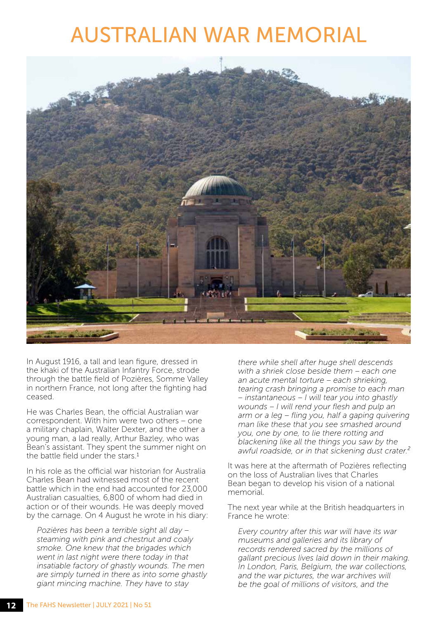## AUSTRALIAN WAR MEMORIAL



In August 1916, a tall and lean figure, dressed in the khaki of the Australian Infantry Force, strode through the battle field of Pozières, Somme Valley in northern France, not long after the fighting had ceased.

He was Charles Bean, the official Australian war correspondent. With him were two others – one a military chaplain, Walter Dexter, and the other a young man, a lad really, Arthur Bazley, who was Bean's assistant. They spent the summer night on the battle field under the stars.1

In his role as the official war historian for Australia Charles Bean had witnessed most of the recent battle which in the end had accounted for 23,000 Australian casualties, 6,800 of whom had died in action or of their wounds. He was deeply moved by the carnage. On 4 August he wrote in his diary:

*Pozières has been a terrible sight all day – steaming with pink and chestnut and coaly smoke. One knew that the brigades which went in last night were there today in that insatiable factory of ghastly wounds. The men are simply turned in there as into some ghastly giant mincing machine. They have to stay* 

*there while shell after huge shell descends with a shriek close beside them – each one an acute mental torture – each shrieking, tearing crash bringing a promise to each man – instantaneous – I will tear you into ghastly wounds – I will rend your flesh and pulp an arm or a leg – fling you, half a gaping quivering man like these that you see smashed around you, one by one, to lie there rotting and blackening like all the things you saw by the awful roadside, or in that sickening dust crater.²* 

It was here at the aftermath of Pozières reflecting on the loss of Australian lives that Charles Bean began to develop his vision of a national memorial.

The next year while at the British headquarters in France he wrote:

*Every country after this war will have its war museums and galleries and its library of records rendered sacred by the millions of gallant precious lives laid down in their making. In London, Paris, Belgium, the war collections, and the war pictures, the war archives will be the goal of millions of visitors, and the*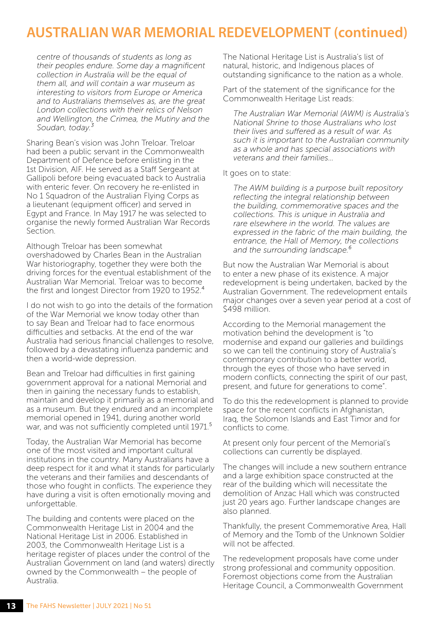## **AUSTRALIAN WAR MEMORIAL REDEVELOPMENT (continued)**

*centre of thousands of students as long as their peoples endure. Some day a magnificent collection in Australia will be the equal of them all, and will contain a war museum as interesting to visitors from Europe or America and to Australians themselves as, are the great London collections with their relics of Nelson and Wellington, the Crimea, the Mutiny and the Soudan, today.³*

Sharing Bean's vision was John Treloar. Treloar had been a public servant in the Commonwealth Department of Defence before enlisting in the 1st Division, AIF. He served as a Staff Sergeant at Gallipoli before being evacuated back to Australia with enteric fever. On recovery he re-enlisted in No 1 Squadron of the Australian Flying Corps as a lieutenant (equipment officer) and served in Egypt and France. In May 1917 he was selected to organise the newly formed Australian War Records Section.

Although Treloar has been somewhat overshadowed by Charles Bean in the Australian War historiography, together they were both the driving forces for the eventual establishment of the Australian War Memorial. Treloar was to become the first and longest Director from 1920 to 1952.<sup>4</sup>

I do not wish to go into the details of the formation of the War Memorial we know today other than to say Bean and Treloar had to face enormous difficulties and setbacks. At the end of the war Australia had serious financial challenges to resolve, followed by a devastating influenza pandemic and then a world-wide depression.

Bean and Treloar had difficulties in first gaining government approval for a national Memorial and then in gaining the necessary funds to establish, maintain and develop it primarily as a memorial and as a museum. But they endured and an incomplete memorial opened in 1941, during another world war, and was not sufficiently completed until 1971.<sup>5</sup>

Today, the Australian War Memorial has become one of the most visited and important cultural institutions in the country. Many Australians have a deep respect for it and what it stands for particularly the veterans and their families and descendants of those who fought in conflicts. The experience they have during a visit is often emotionally moving and unforgettable.

The building and contents were placed on the Commonwealth Heritage List in 2004 and the National Heritage List in 2006. Established in 2003, the Commonwealth Heritage List is a heritage register of places under the control of the Australian Government on land (and waters) directly owned by the Commonwealth – the people of Australia.

The National Heritage List is Australia's list of natural, historic, and Indigenous places of outstanding significance to the nation as a whole.

Part of the statement of the significance for the Commonwealth Heritage List reads:

*The Australian War Memorial (AWM) is Australia's National Shrine to those Australians who lost their lives and suffered as a result of war. As such it is important to the Australian community as a whole and has special associations with veterans and their families…*

It goes on to state:

*The AWM building is a purpose built repository reflecting the integral relationship between the building, commemorative spaces and the collections. This is unique in Australia and rare elsewhere in the world. The values are expressed in the fabric of the main building, the entrance, the Hall of Memory, the collections and the surrounding landscape.⁶*

But now the Australian War Memorial is about to enter a new phase of its existence. A major redevelopment is being undertaken, backed by the Australian Government. The redevelopment entails major changes over a seven year period at a cost of \$498 million.

According to the Memorial management the motivation behind the development is "to modernise and expand our galleries and buildings so we can tell the continuing story of Australia's contemporary contribution to a better world, through the eyes of those who have served in modern conflicts, connecting the spirit of our past, present, and future for generations to come".

To do this the redevelopment is planned to provide space for the recent conflicts in Afghanistan, Iraq, the Solomon Islands and East Timor and for conflicts to come.

At present only four percent of the Memorial's collections can currently be displayed.

The changes will include a new southern entrance and a large exhibition space constructed at the rear of the building which will necessitate the demolition of Anzac Hall which was constructed just 20 years ago. Further landscape changes are also planned.

Thankfully, the present Commemorative Area, Hall of Memory and the Tomb of the Unknown Soldier will not be affected.

The redevelopment proposals have come under strong professional and community opposition. Foremost objections come from the Australian Heritage Council, a Commonwealth Government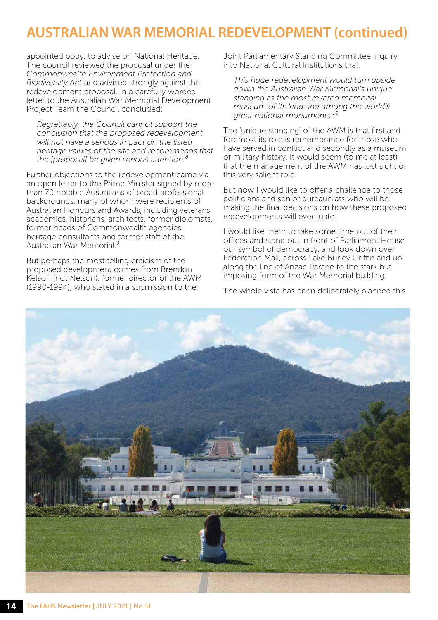## **AUSTRALIAN WAR MEMORIAL REDEVELOPMENT (continued)**

appointed body, to advise on National Heritage. The council reviewed the proposal under the *Commonwealth Environment Protection and Biodiversity Act* and advised strongly against the redevelopment proposal. In a carefully worded letter to the Australian War Memorial Development Project Team the Council concluded:

*Regrettably, the Council cannot support the conclusion that the proposed redevelopment will not have a serious impact on the listed heritage values of the site and recommends that the [proposal] be given serious attention.⁸* 

Further objections to the redevelopment came via an open letter to the Prime Minister signed by more than 70 notable Australians of broad professional backgrounds, many of whom were recipients of Australian Honours and Awards, including veterans, academics, historians, architects, former diplomats, former heads of Commonwealth agencies, heritage consultants and former staff of the Australian War Memorial.⁹

But perhaps the most telling criticism of the proposed development comes from Brendon Kelson (not Nelson), former director of the AWM (1990-1994), who stated in a submission to the

Joint Parliamentary Standing Committee inquiry into National Cultural Institutions that:

*This huge redevelopment would turn upside down the Australian War Memorial's unique standing as the most revered memorial museum of its kind and among the world's*  great national monuments.<sup>10</sup>

The 'unique standing' of the AWM is that first and foremost its role is remembrance for those who have served in conflict and secondly as a museum of military history. It would seem (to me at least) that the management of the AWM has lost sight of this very salient role.

But now I would like to offer a challenge to those politicians and senior bureaucrats who will be making the final decisions on how these proposed redevelopments will eventuate.

I would like them to take some time out of their offices and stand out in front of Parliament House, our symbol of democracy, and look down over Federation Mall, across Lake Burley Griffin and up along the line of Anzac Parade to the stark but imposing form of the War Memorial building.

The whole vista has been deliberately planned this

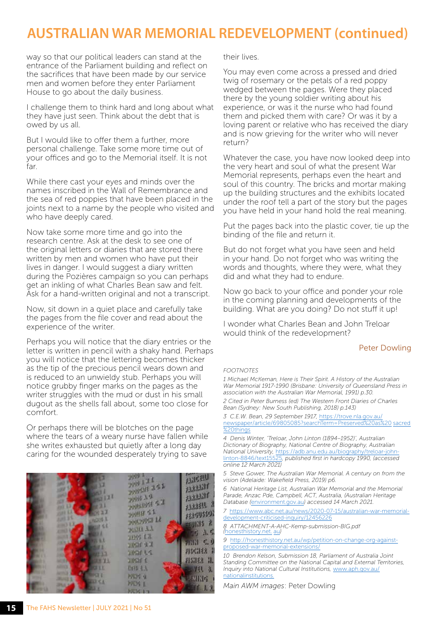## **AUSTRALIAN WAR MEMORIAL REDEVELOPMENT (continued)**

way so that our political leaders can stand at the entrance of the Parliament building and reflect on the sacrifices that have been made by our service men and women before they enter Parliament House to go about the daily business.

I challenge them to think hard and long about what they have just seen. Think about the debt that is owed by us all.

But I would like to offer them a further, more personal challenge. Take some more time out of your offices and go to the Memorial itself. It is not far.

While there cast your eyes and minds over the names inscribed in the Wall of Remembrance and the sea of red poppies that have been placed in the joints next to a name by the people who visited and who have deeply cared.

Now take some more time and go into the research centre. Ask at the desk to see one of the original letters or diaries that are stored there written by men and women who have put their lives in danger. I would suggest a diary written during the Pozières campaign so you can perhaps get an inkling of what Charles Bean saw and felt. Ask for a hand-written original and not a transcript.

Now, sit down in a quiet place and carefully take the pages from the file cover and read about the experience of the writer.

Perhaps you will notice that the diary entries or the letter is written in pencil with a shaky hand. Perhaps you will notice that the lettering becomes thicker as the tip of the precious pencil wears down and is reduced to an unwieldy stub. Perhaps you will notice grubby finger marks on the pages as the writer struggles with the mud or dust in his small dugout as the shells fall about, some too close for comfort.

Or perhaps there will be blotches on the page where the tears of a weary nurse have fallen while she writes exhausted but quietly after a long day caring for the wounded desperately trying to save



their lives.

You may even come across a pressed and dried twig of rosemary or the petals of a red poppy wedged between the pages. Were they placed there by the young soldier writing about his experience, or was it the nurse who had found them and picked them with care? Or was it by a loving parent or relative who has received the diary and is now grieving for the writer who will never return?

Whatever the case, you have now looked deep into the very heart and soul of what the present War Memorial represents, perhaps even the heart and soul of this country. The bricks and mortar making up the building structures and the exhibits located under the roof tell a part of the story but the pages you have held in your hand hold the real meaning.

Put the pages back into the plastic cover, tie up the binding of the file and return it.

But do not forget what you have seen and held in your hand. Do not forget who was writing the words and thoughts, where they were, what they did and what they had to endure.

Now go back to your office and ponder your role in the coming planning and developments of the building. What are you doing? Do not stuff it up!

I wonder what Charles Bean and John Treloar would think of the redevelopment?

#### Peter Dowling

#### *FOOTNOTES*

*1 Michael McKernan, Here is Their Spirit. A History of the Australian War Memorial 1917-1990 (Brisbane: University of Queensland Press in association with the Australian War Memorial, 1991) p.30. 2 Cited in Peter Burness (ed) The Western Front Diaries of Charles Bean (Sydney: New South Publishing, 2018) p.143)*

*3 C.E.W. Bean, 29 September 1917,* https://trove.nla.gov.au/ [newspaper/article/69805085?searchTerm=Preserved%20as%20](https://trove.nla.gov.au/newspaper/article/69805085?searchTerm=Preserved%20as%20sacred%20things) sacred %20things

*4 Denis Winter, 'Treloar, John Linton (1894–1952)', Australian Dictionary of Biography, National Centre of Biography, Australian National University,* https://adb.anu.edu.au/biography/treloar-johnlinton-8846/text15525*, published first in hardcopy 1990, (accessed online 12 March 2021)*

*5 Steve Gower, The Australian War Memorial. A century on from the vision (Adelaide: Wakefield Press, 2019) p6.*

*6 National Heritage List, Australian War Memorial and the Memorial Parade, Anzac Pde, Campbell, ACT, Australia, (Australian Heritage Database (*<environment.gov.au>*) accessed 14 March 2021.*

*7* https://www.abc.net.au/news/2020-07-15/australian-war-memorialdevelopment-criticised-inquiry/12456226

*8 ATTACHMENT-A-AHC-Kemp-submission-BIG.pdf (*[honesthistory.net.](http://honesthistory.net.au/wp/) au*)*

*9* http://honesthistory.net.au/wp/petition-on-change-org-againstproposed-war-memorial-extensions/

*10 Brendon Kelson, Submission 18, Parliament of Australia Joint Standing Committee on the National Capital and External Territories, [Inquiry into National Cultural Institutions,](https://www.aph.gov.au/nationalinstitutions)* www.aph.gov.au/ nationalinstitutions.

*Main AWM images*: Peter Dowling